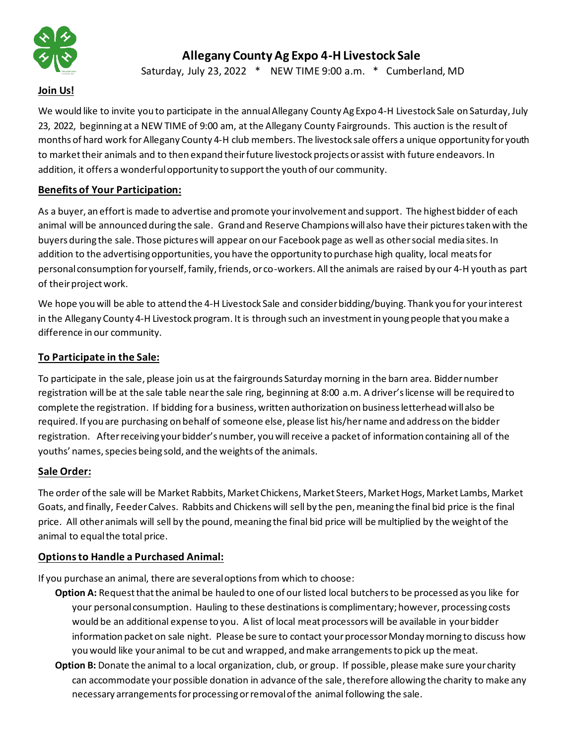

# **Allegany County Ag Expo 4-H Livestock Sale**

Saturday, July 23, 2022 \* NEW TIME 9:00 a.m. \* Cumberland, MD

## **Join Us!**

We would like to invite you to participate in the annual Allegany County Ag Expo 4-H Livestock Sale on Saturday, July 23, 2022, beginning at a NEW TIME of 9:00 am, at the Allegany County Fairgrounds. This auction is the result of months of hard work for Allegany County 4-H club members. The livestock sale offers a unique opportunity for youth to market their animals and to then expand their future livestock projects or assist with future endeavors. In addition, it offers a wonderful opportunity to support the youth of our community.

## **Benefits of Your Participation:**

As a buyer, an effort is made to advertise and promote your involvement and support. The highest bidder of each animal will be announced during the sale. Grand and Reserve Champions will also have their pictures taken with the buyers during the sale. Those pictures will appear on our Facebook page as well as other social media sites. In addition to the advertising opportunities, you have the opportunity to purchase high quality, local meats for personal consumption for yourself, family, friends, or co-workers. All the animals are raised by our 4-H youth as part of their project work.

We hope you will be able to attend the 4-H Livestock Sale and consider bidding/buying. Thank you for your interest in the Allegany County 4-H Livestock program. It is through such an investment in young people that you make a difference in our community.

## **To Participate in the Sale:**

To participate in the sale, please join us at the fairgrounds Saturday morning in the barn area. Bidder number registration will be at the sale table near the sale ring, beginning at 8:00 a.m. A driver's license will be required to complete the registration. If bidding for a business, written authorization on business letterhead will also be required. If you are purchasing on behalf of someone else, please list his/hername and address on the bidder registration. After receiving your bidder's number, you will receive a packet of information containing all of the youths' names, species being sold, and the weights of the animals.

#### **Sale Order:**

The order of the sale will be Market Rabbits, Market Chickens, Market Steers, Market Hogs, Market Lambs, Market Goats, and finally, Feeder Calves. Rabbits and Chickens will sell by the pen, meaning the final bid price is the final price. All other animals will sell by the pound, meaning the final bid price will be multiplied by the weight of the animal to equal the total price.

#### **Options to Handle a Purchased Animal:**

If you purchase an animal, there are several options from which to choose:

- **Option A:** Requestthat the animal be hauled to one of our listed local butchers to be processed as you like for your personal consumption. Hauling to these destinations is complimentary; however, processing costs would be an additional expense to you. A list of local meat processors will be available in your bidder information packet on sale night. Please be sure to contact your processor Monday morning to discuss how you would like your animal to be cut and wrapped, and make arrangements to pick up the meat.
- **Option B:** Donate the animal to a local organization, club, or group. If possible, please make sure your charity can accommodate your possible donation in advance of the sale, therefore allowing the charity to make any necessary arrangements for processing or removal of the animal following the sale.